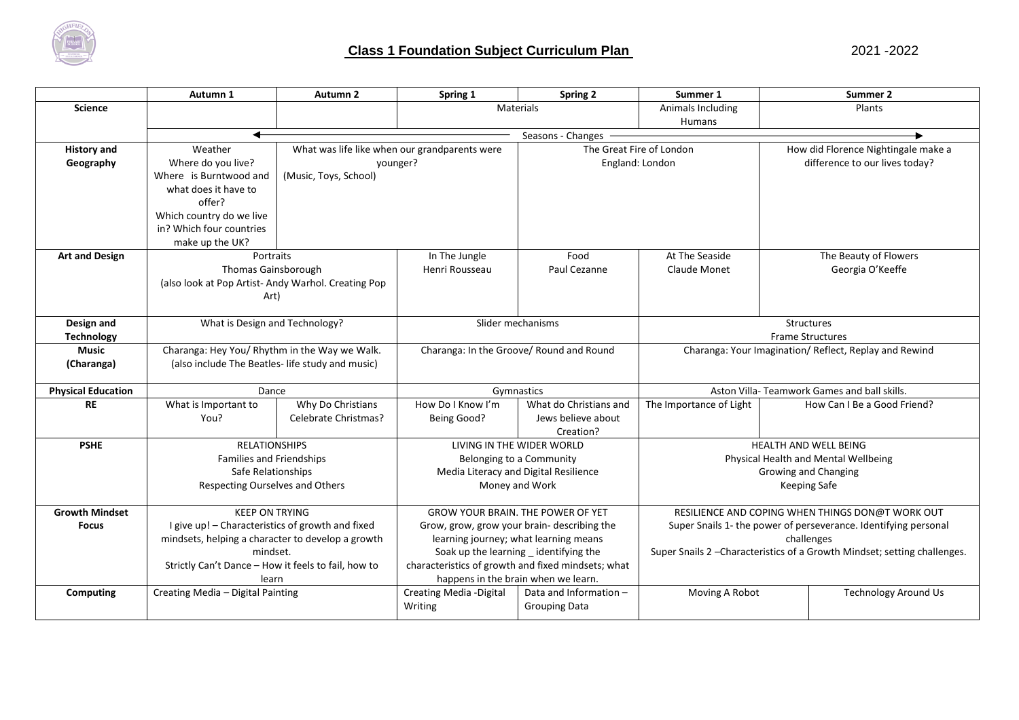

|                           | Autumn 1                                                 | Autumn 2              | Spring 1                                           | <b>Spring 2</b>                       | Summer 1                                                                  | Summer 2                            |
|---------------------------|----------------------------------------------------------|-----------------------|----------------------------------------------------|---------------------------------------|---------------------------------------------------------------------------|-------------------------------------|
| <b>Science</b>            |                                                          |                       | <b>Materials</b>                                   |                                       | Animals Including                                                         | Plants                              |
|                           |                                                          |                       | Humans                                             |                                       |                                                                           |                                     |
|                           | ◀<br>Seasons - Changes                                   |                       |                                                    |                                       |                                                                           |                                     |
| <b>History and</b>        | Weather<br>What was life like when our grandparents were |                       |                                                    |                                       | The Great Fire of London                                                  | How did Florence Nightingale make a |
| Geography                 | Where do you live?                                       |                       | vounger?                                           |                                       | England: London                                                           | difference to our lives today?      |
|                           | Where is Burntwood and                                   | (Music, Toys, School) |                                                    |                                       |                                                                           |                                     |
|                           | what does it have to                                     |                       |                                                    |                                       |                                                                           |                                     |
|                           | offer?                                                   |                       |                                                    |                                       |                                                                           |                                     |
|                           | Which country do we live                                 |                       |                                                    |                                       |                                                                           |                                     |
|                           | in? Which four countries                                 |                       |                                                    |                                       |                                                                           |                                     |
|                           | make up the UK?                                          |                       |                                                    |                                       |                                                                           |                                     |
| <b>Art and Design</b>     | Portraits                                                |                       | In The Jungle                                      | Food                                  | At The Seaside                                                            | The Beauty of Flowers               |
|                           | Thomas Gainsborough                                      |                       | Henri Rousseau                                     | Paul Cezanne                          | Claude Monet                                                              | Georgia O'Keeffe                    |
|                           | (also look at Pop Artist-Andy Warhol. Creating Pop       |                       |                                                    |                                       |                                                                           |                                     |
|                           | Art)                                                     |                       |                                                    |                                       |                                                                           |                                     |
|                           |                                                          |                       |                                                    |                                       |                                                                           |                                     |
| Design and                | What is Design and Technology?                           |                       | Slider mechanisms                                  |                                       | <b>Structures</b>                                                         |                                     |
| <b>Technology</b>         |                                                          |                       |                                                    |                                       | <b>Frame Structures</b>                                                   |                                     |
| <b>Music</b>              | Charanga: Hey You/ Rhythm in the Way we Walk.            |                       | Charanga: In the Groove/ Round and Round           |                                       | Charanga: Your Imagination/ Reflect, Replay and Rewind                    |                                     |
| (Charanga)                | (also include The Beatles- life study and music)         |                       |                                                    |                                       |                                                                           |                                     |
|                           |                                                          |                       |                                                    |                                       |                                                                           |                                     |
| <b>Physical Education</b> | Dance                                                    |                       | Gymnastics                                         |                                       | Aston Villa-Teamwork Games and ball skills.                               |                                     |
| <b>RE</b>                 | What is Important to                                     | Why Do Christians     | How Do I Know I'm                                  | What do Christians and                | The Importance of Light                                                   | How Can I Be a Good Friend?         |
|                           | You?                                                     | Celebrate Christmas?  | Being Good?                                        | Jews believe about                    |                                                                           |                                     |
|                           |                                                          |                       |                                                    | Creation?                             |                                                                           |                                     |
| <b>PSHE</b>               | <b>RELATIONSHIPS</b>                                     |                       | LIVING IN THE WIDER WORLD                          |                                       | HEALTH AND WELL BEING                                                     |                                     |
|                           | <b>Families and Friendships</b>                          |                       | Belonging to a Community                           |                                       | Physical Health and Mental Wellbeing                                      |                                     |
|                           | Safe Relationships                                       |                       |                                                    | Media Literacy and Digital Resilience | Growing and Changing                                                      |                                     |
|                           | Respecting Ourselves and Others<br>Money and Work        |                       |                                                    | Keeping Safe                          |                                                                           |                                     |
|                           |                                                          |                       |                                                    |                                       |                                                                           |                                     |
| <b>Growth Mindset</b>     | <b>KEEP ON TRYING</b>                                    |                       | <b>GROW YOUR BRAIN. THE POWER OF YET</b>           |                                       | RESILIENCE AND COPING WHEN THINGS DON@T WORK OUT                          |                                     |
| <b>Focus</b>              | I give up! - Characteristics of growth and fixed         |                       | Grow, grow, grow your brain- describing the        |                                       | Super Snails 1- the power of perseverance. Identifying personal           |                                     |
|                           | mindsets, helping a character to develop a growth        |                       | learning journey; what learning means              |                                       | challenges                                                                |                                     |
|                           | mindset.                                                 |                       | Soak up the learning _ identifying the             |                                       | Super Snails 2 - Characteristics of a Growth Mindset; setting challenges. |                                     |
|                           | Strictly Can't Dance - How it feels to fail, how to      |                       | characteristics of growth and fixed mindsets; what |                                       |                                                                           |                                     |
|                           | learn                                                    |                       | happens in the brain when we learn.                |                                       |                                                                           |                                     |
| Computing                 | Creating Media - Digital Painting                        |                       | Creating Media - Digital                           | Data and Information -                | Moving A Robot                                                            | <b>Technology Around Us</b>         |
|                           |                                                          |                       | Writing                                            | <b>Grouping Data</b>                  |                                                                           |                                     |